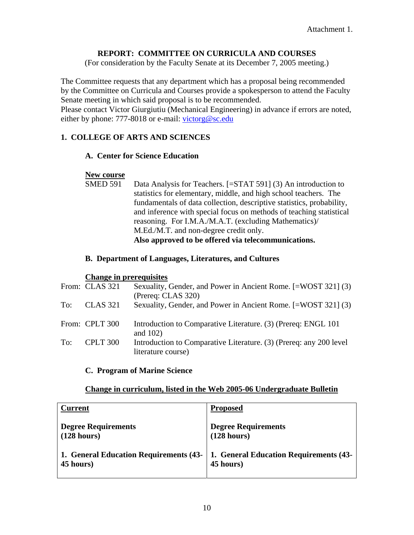#### **REPORT: COMMITTEE ON CURRICULA AND COURSES**

(For consideration by the Faculty Senate at its December 7, 2005 meeting.)

The Committee requests that any department which has a proposal being recommended by the Committee on Curricula and Courses provide a spokesperson to attend the Faculty Senate meeting in which said proposal is to be recommended.

Please contact Victor Giurgiutiu (Mechanical Engineering) in advance if errors are noted, either by phone: 777-8018 or e-mail: [victorg@sc.edu](mailto:victorg@sc.edu)

#### **1. COLLEGE OF ARTS AND SCIENCES**

#### **A. Center for Science Education**

#### **New course**

SMED 591 Data Analysis for Teachers. [=STAT 591] (3) An introduction to statistics for elementary, middle, and high school teachers. The fundamentals of data collection, descriptive statistics, probability, and inference with special focus on methods of teaching statistical reasoning. For I.M.A./M.A.T. (excluding Mathematics)/ M.Ed./M.T. and non-degree credit only. **Also approved to be offered via telecommunications.** 

#### **B. Department of Languages, Literatures, and Cultures**

#### **Change in prerequisites**

|     | From: CLAS 321  | Sexuality, Gender, and Power in Ancient Rome. [=WOST 321] (3)<br>(Prereq: CLAS 320)      |
|-----|-----------------|------------------------------------------------------------------------------------------|
| To: | <b>CLAS</b> 321 | Sexuality, Gender, and Power in Ancient Rome. [=WOST 321] (3)                            |
|     | From: CPLT 300  | Introduction to Comparative Literature. (3) (Prereq: ENGL 101<br>and $102$ )             |
| To: | CPLT 300        | Introduction to Comparative Literature. (3) (Prereq: any 200 level<br>literature course) |

#### **C. Program of Marine Science**

#### **Change in curriculum, listed in the Web 2005-06 Undergraduate Bulletin**

| <b>Current</b>                         | <b>Proposed</b>                        |
|----------------------------------------|----------------------------------------|
| <b>Degree Requirements</b>             | <b>Degree Requirements</b>             |
| (128 hours)                            | (128 hours)                            |
| 1. General Education Requirements (43- | 1. General Education Requirements (43- |
| 45 hours)                              | 45 hours)                              |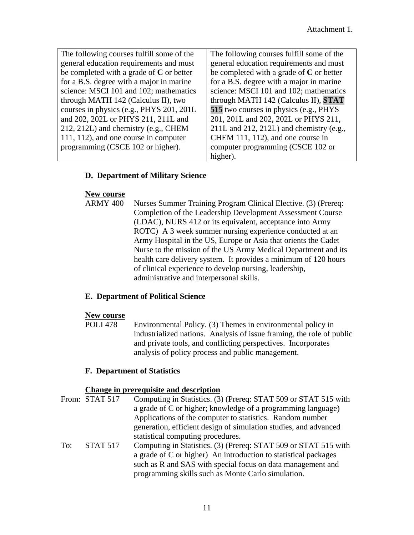| The following courses fulfill some of the  | The following courses fulfill some of the   |
|--------------------------------------------|---------------------------------------------|
| general education requirements and must    | general education requirements and must     |
| be completed with a grade of $C$ or better | be completed with a grade of $C$ or better  |
| for a B.S. degree with a major in marine   | for a B.S. degree with a major in marine    |
| science: MSCI 101 and 102; mathematics     | science: MSCI 101 and 102; mathematics      |
| through MATH 142 (Calculus II), two        | through MATH 142 (Calculus II), <b>STAT</b> |
| courses in physics (e.g., PHYS 201, 201L   | 515 two courses in physics (e.g., PHYS)     |
| and 202, 202L or PHYS 211, 211L and        | 201, 201L and 202, 202L or PHYS 211,        |
| 212, 212L) and chemistry (e.g., CHEM       | 211L and 212, 212L) and chemistry (e.g.,    |
| 111, 112), and one course in computer      | CHEM 111, 112), and one course in           |
| programming (CSCE 102 or higher).          | computer programming (CSCE 102 or           |
|                                            | higher).                                    |

### **D. Department of Military Science**

#### **New course**

ARMY 400 Nurses Summer Training Program Clinical Elective. (3) (Prereq: Completion of the Leadership Development Assessment Course (LDAC), NURS 412 or its equivalent, acceptance into Army ROTC) A 3 week summer nursing experience conducted at an Army Hospital in the US, Europe or Asia that orients the Cadet Nurse to the mission of the US Army Medical Department and its health care delivery system. It provides a minimum of 120 hours of clinical experience to develop nursing, leadership, administrative and interpersonal skills.

### **E. Department of Political Science**

#### **New course**

POLI 478 Environmental Policy. (3) Themes in environmental policy in industrialized nations. Analysis of issue framing, the role of public and private tools, and conflicting perspectives. Incorporates analysis of policy process and public management.

### **F. Department of Statistics**

### **Change in prerequisite and description**

From: STAT 517 Computing in Statistics. (3) (Prereq: STAT 509 or STAT 515 with a grade of C or higher; knowledge of a programming language) Applications of the computer to statistics. Random number generation, efficient design of simulation studies, and advanced statistical computing procedures. To: STAT 517 Computing in Statistics. (3) (Prereq: STAT 509 or STAT 515 with a grade of C or higher) An introduction to statistical packages such as R and SAS with special focus on data management and programming skills such as Monte Carlo simulation.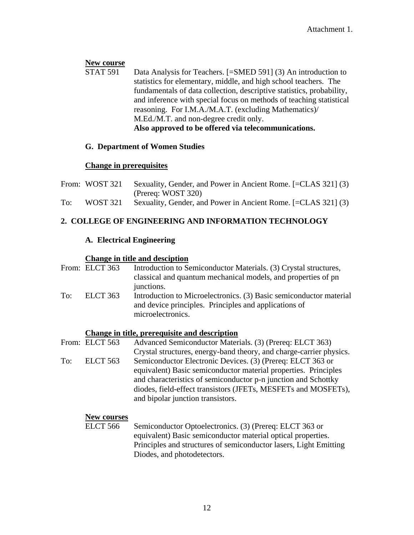### **New course**

STAT 591 Data Analysis for Teachers. [=SMED 591] (3) An introduction to statistics for elementary, middle, and high school teachers. The fundamentals of data collection, descriptive statistics, probability, and inference with special focus on methods of teaching statistical reasoning. For I.M.A./M.A.T. (excluding Mathematics)/ M.Ed./M.T. and non-degree credit only. **Also approved to be offered via telecommunications.** 

### **G. Department of Women Studies**

### **Change in prerequisites**

|     | From: WOST 321 | Sexuality, Gender, and Power in Ancient Rome. [=CLAS 321] (3) |
|-----|----------------|---------------------------------------------------------------|
|     |                | (Prereq: WOST 320)                                            |
| To: | WOST 321       | Sexuality, Gender, and Power in Ancient Rome. [=CLAS 321] (3) |

## **2. COLLEGE OF ENGINEERING AND INFORMATION TECHNOLOGY**

### **A. Electrical Engineering**

### **Change in title and desciption**

|     | From: ELCT 363 | Introduction to Semiconductor Materials. (3) Crystal structures,<br>classical and quantum mechanical models, and properties of pn<br>junctions.  |
|-----|----------------|--------------------------------------------------------------------------------------------------------------------------------------------------|
| To: | ELCT 363       | Introduction to Microelectronics. (3) Basic semiconductor material<br>and device principles. Principles and applications of<br>microelectronics. |

### **Change in title, prerequisite and description**

|     | From: ELCT 563 | Advanced Semiconductor Materials. (3) (Prereq: ELCT 363)            |
|-----|----------------|---------------------------------------------------------------------|
|     |                | Crystal structures, energy-band theory, and charge-carrier physics. |
| To: | ELCT 563       | Semiconductor Electronic Devices. (3) (Prereq: ELCT 363 or          |
|     |                | equivalent) Basic semiconductor material properties. Principles     |
|     |                | and characteristics of semiconductor p-n junction and Schottky      |
|     |                | diodes, field-effect transistors (JFETs, MESFETs and MOSFETs),      |
|     |                | and bipolar junction transistors.                                   |

### **New courses**

ELCT 566 Semiconductor Optoelectronics. (3) (Prereq: ELCT 363 or equivalent) Basic semiconductor material optical properties. Principles and structures of semiconductor lasers, Light Emitting Diodes, and photodetectors.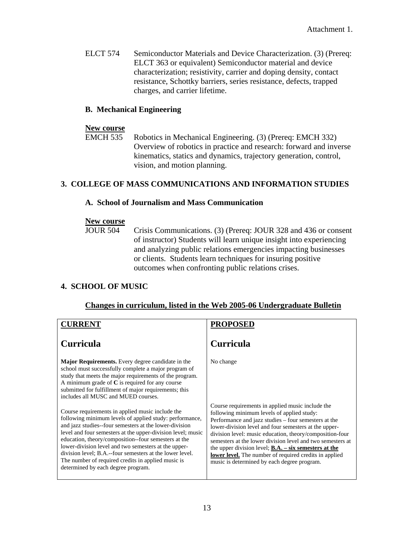ELCT 574 Semiconductor Materials and Device Characterization. (3) (Prereq: ELCT 363 or equivalent) Semiconductor material and device characterization; resistivity, carrier and doping density, contact resistance, Schottky barriers, series resistance, defects, trapped charges, and carrier lifetime.

#### **B. Mechanical Engineering**

#### **New course**

EMCH 535 Robotics in Mechanical Engineering. (3) (Prereq: EMCH 332) Overview of robotics in practice and research: forward and inverse kinematics, statics and dynamics, trajectory generation, control, vision, and motion planning.

#### **3. COLLEGE OF MASS COMMUNICATIONS AND INFORMATION STUDIES**

#### **A. School of Journalism and Mass Communication**

#### **New course**

JOUR 504 Crisis Communications. (3) (Prereq: JOUR 328 and 436 or consent of instructor) Students will learn unique insight into experiencing and analyzing public relations emergencies impacting businesses or clients. Students learn techniques for insuring positive outcomes when confronting public relations crises.

#### **4. SCHOOL OF MUSIC**

#### **Changes in curriculum, listed in the Web 2005-06 Undergraduate Bulletin**

| <b>CURRENT</b>                                                                                                                                                                                                                                                                                                                                                                                                                                                                                               | <b>PROPOSE</b>                                                                                                                                                                                                                                                                                                                                                                                                                                                                                                                                                                    |
|--------------------------------------------------------------------------------------------------------------------------------------------------------------------------------------------------------------------------------------------------------------------------------------------------------------------------------------------------------------------------------------------------------------------------------------------------------------------------------------------------------------|-----------------------------------------------------------------------------------------------------------------------------------------------------------------------------------------------------------------------------------------------------------------------------------------------------------------------------------------------------------------------------------------------------------------------------------------------------------------------------------------------------------------------------------------------------------------------------------|
| <b>Curricula</b>                                                                                                                                                                                                                                                                                                                                                                                                                                                                                             | <b>Curricula</b>                                                                                                                                                                                                                                                                                                                                                                                                                                                                                                                                                                  |
| <b>Major Requirements.</b> Every degree candidate in the<br>school must successfully complete a major program of<br>study that meets the major requirements of the program.<br>A minimum grade of $C$ is required for any course<br>submitted for fulfillment of major requirements; this<br>includes all MUSC and MUED courses.                                                                                                                                                                             | No change                                                                                                                                                                                                                                                                                                                                                                                                                                                                                                                                                                         |
| Course requirements in applied music include the<br>following minimum levels of applied study: performance,<br>and jazz studies--four semesters at the lower-division<br>level and four semesters at the upper-division level; music<br>education, theory/composition--four semesters at the<br>lower-division level and two semesters at the upper-<br>division level; B.A.--four semesters at the lower level.<br>The number of required credits in applied music is<br>determined by each degree program. | Course requirements in applied music include the<br>following minimum levels of applied study:<br>Performance and jazz studies – four semesters at the<br>lower-division level and four semesters at the upper-<br>division level: music education, theory/composition-four<br>semesters at the lower division level and two semesters at<br>the upper division level; $\underline{\mathbf{B}}.\underline{\mathbf{A}}.\underline{\mathbf{-six}}$ semesters at the<br><b>lower level.</b> The number of required credits in applied<br>music is determined by each degree program. |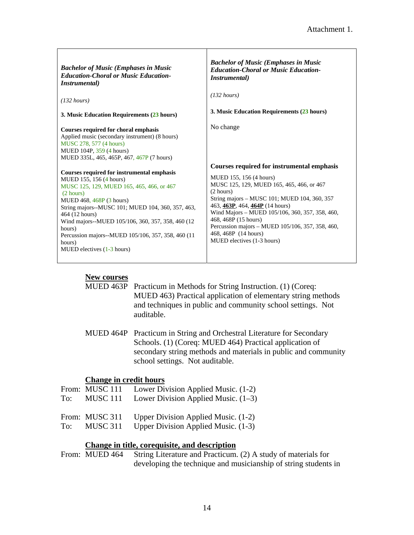| <b>Bachelor of Music (Emphases in Music</b><br><b>Education-Choral or Music Education-</b><br><i>Instrumental</i> )                                                                                                                                                                                                                                                                                | <b>Bachelor of Music (Emphases in Music</b><br><b>Education-Choral or Music Education-</b><br><i>Instrumental</i> )                                                                                                                                                                                                                                                                                            |
|----------------------------------------------------------------------------------------------------------------------------------------------------------------------------------------------------------------------------------------------------------------------------------------------------------------------------------------------------------------------------------------------------|----------------------------------------------------------------------------------------------------------------------------------------------------------------------------------------------------------------------------------------------------------------------------------------------------------------------------------------------------------------------------------------------------------------|
| $(132 \text{ hours})$                                                                                                                                                                                                                                                                                                                                                                              | $(132 \text{ hours})$                                                                                                                                                                                                                                                                                                                                                                                          |
| 3. Music Education Requirements (23 hours)                                                                                                                                                                                                                                                                                                                                                         | 3. Music Education Requirements (23 hours)                                                                                                                                                                                                                                                                                                                                                                     |
| Courses required for choral emphasis<br>Applied music (secondary instrument) (8 hours)<br>MUSC 278, 577 (4 hours)<br>MUED 104P, 359 (4 hours)<br>MUED 335L, 465, 465P, 467, 467P (7 hours)                                                                                                                                                                                                         | No change                                                                                                                                                                                                                                                                                                                                                                                                      |
| Courses required for instrumental emphasis<br>MUED 155, 156 (4 hours)<br>MUSC 125, 129, MUED 165, 465, 466, or 467<br>(2 hours)<br>MUED 468, 468P (3 hours)<br>String majors--MUSC 101; MUED 104, 360, 357, 463,<br>464 (12 hours)<br>Wind majors--MUED 105/106, 360, 357, 358, 460 (12)<br>hours)<br>Percussion majors--MUED 105/106, 357, 358, 460 (11<br>hours)<br>MUED electives $(1-3$ hours) | <b>Courses required for instrumental emphasis</b><br>MUED 155, 156 (4 hours)<br>MUSC 125, 129, MUED 165, 465, 466, or 467<br>(2 hours)<br>String majors – MUSC 101; MUED 104, 360, 357<br>463, 463P, 464, 464P (14 hours)<br>Wind Majors - MUED 105/106, 360, 357, 358, 460,<br>468, 468P (15 hours)<br>Percussion majors – MUED 105/106, 357, 358, 460,<br>468, 468P (14 hours)<br>MUED electives (1-3 hours) |

Т

### **New courses**

ा

| MUED 463P Practicum in Methods for String Instruction. (1) (Coreq:        |
|---------------------------------------------------------------------------|
| MUED 463) Practical application of elementary string methods              |
| and techniques in public and community school settings. Not<br>auditable. |

MUED 464P Practicum in String and Orchestral Literature for Secondary Schools. (1) (Coreq: MUED 464) Practical application of secondary string methods and materials in public and community school settings. Not auditable.

### **Change in credit hours**

|     | From: MUSC 111 | Lower Division Applied Music. (1-2)   |
|-----|----------------|---------------------------------------|
| To: | MUSC 111       | Lower Division Applied Music. $(1-3)$ |
|     | From: MUSC 311 | Upper Division Applied Music. (1-2)   |

To: MUSC 311 Upper Division Applied Music. (1-3)

### **Change in title, corequisite, and description**

From: MUED 464 String Literature and Practicum. (2) A study of materials for developing the technique and musicianship of string students in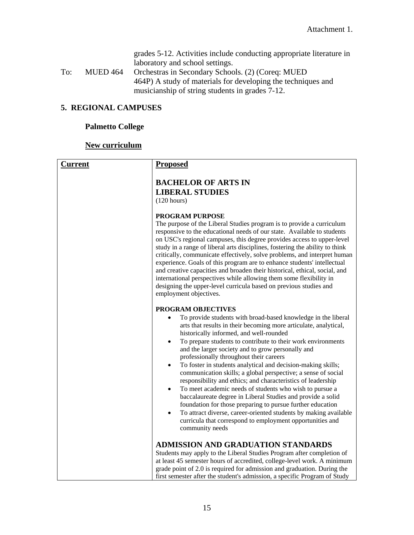|          | grades 5-12. Activities include conducting appropriate literature in |
|----------|----------------------------------------------------------------------|
|          | laboratory and school settings.                                      |
| MUED 464 | Orchestras in Secondary Schools. (2) (Coreq: MUED                    |
|          | 464P) A study of materials for developing the techniques and         |
|          | musicianship of string students in grades 7-12.                      |
|          |                                                                      |

# **5. REGIONAL CAMPUSES**

# **Palmetto College**

# **New curriculum**

| <b>Current</b> | <b>Proposed</b>                                                                                                                                                                                                                                                                                                                                                                                                                                                                                                                                                                                                                                                                                                                                                                                                                                                                                                                                               |
|----------------|---------------------------------------------------------------------------------------------------------------------------------------------------------------------------------------------------------------------------------------------------------------------------------------------------------------------------------------------------------------------------------------------------------------------------------------------------------------------------------------------------------------------------------------------------------------------------------------------------------------------------------------------------------------------------------------------------------------------------------------------------------------------------------------------------------------------------------------------------------------------------------------------------------------------------------------------------------------|
|                | <b>BACHELOR OF ARTS IN</b><br><b>LIBERAL STUDIES</b><br>(120 hours)                                                                                                                                                                                                                                                                                                                                                                                                                                                                                                                                                                                                                                                                                                                                                                                                                                                                                           |
|                | <b>PROGRAM PURPOSE</b><br>The purpose of the Liberal Studies program is to provide a curriculum<br>responsive to the educational needs of our state. Available to students<br>on USC's regional campuses, this degree provides access to upper-level<br>study in a range of liberal arts disciplines, fostering the ability to think<br>critically, communicate effectively, solve problems, and interpret human<br>experience. Goals of this program are to enhance students' intellectual<br>and creative capacities and broaden their historical, ethical, social, and<br>international perspectives while allowing them some flexibility in<br>designing the upper-level curricula based on previous studies and<br>employment objectives.                                                                                                                                                                                                                |
|                | <b>PROGRAM OBJECTIVES</b><br>To provide students with broad-based knowledge in the liberal<br>arts that results in their becoming more articulate, analytical,<br>historically informed, and well-rounded<br>To prepare students to contribute to their work environments<br>$\bullet$<br>and the larger society and to grow personally and<br>professionally throughout their careers<br>To foster in students analytical and decision-making skills;<br>$\bullet$<br>communication skills; a global perspective; a sense of social<br>responsibility and ethics; and characteristics of leadership<br>To meet academic needs of students who wish to pursue a<br>$\bullet$<br>baccalaureate degree in Liberal Studies and provide a solid<br>foundation for those preparing to pursue further education<br>To attract diverse, career-oriented students by making available<br>curricula that correspond to employment opportunities and<br>community needs |
|                | <b>ADMISSION AND GRADUATION STANDARDS</b><br>Students may apply to the Liberal Studies Program after completion of<br>at least 45 semester hours of accredited, college-level work. A minimum<br>grade point of 2.0 is required for admission and graduation. During the<br>first semester after the student's admission, a specific Program of Study                                                                                                                                                                                                                                                                                                                                                                                                                                                                                                                                                                                                         |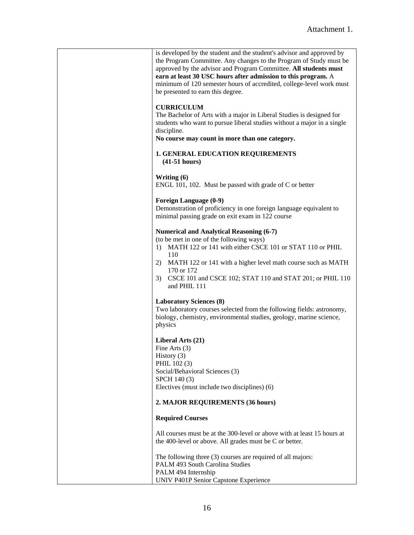| is developed by the student and the student's advisor and approved by<br>the Program Committee. Any changes to the Program of Study must be<br>approved by the advisor and Program Committee. All students must<br>earn at least 30 USC hours after admission to this program. A<br>minimum of 120 semester hours of accredited, college-level work must<br>be presented to earn this degree. |
|-----------------------------------------------------------------------------------------------------------------------------------------------------------------------------------------------------------------------------------------------------------------------------------------------------------------------------------------------------------------------------------------------|
| <b>CURRICULUM</b><br>The Bachelor of Arts with a major in Liberal Studies is designed for<br>students who want to pursue liberal studies without a major in a single<br>discipline.<br>No course may count in more than one category.                                                                                                                                                         |
| <b>1. GENERAL EDUCATION REQUIREMENTS</b><br>$(41-51 hours)$                                                                                                                                                                                                                                                                                                                                   |
| Writing $(6)$<br>ENGL 101, 102. Must be passed with grade of C or better                                                                                                                                                                                                                                                                                                                      |
| Foreign Language (0-9)<br>Demonstration of proficiency in one foreign language equivalent to<br>minimal passing grade on exit exam in 122 course                                                                                                                                                                                                                                              |
| <b>Numerical and Analytical Reasoning (6-7)</b><br>(to be met in one of the following ways)<br>1) MATH 122 or 141 with either CSCE 101 or STAT 110 or PHIL<br>110<br>MATH 122 or 141 with a higher level math course such as MATH<br>2)<br>170 or 172<br>3) CSCE 101 and CSCE 102; STAT 110 and STAT 201; or PHIL 110<br>and PHIL 111                                                         |
| <b>Laboratory Sciences (8)</b><br>Two laboratory courses selected from the following fields: astronomy,<br>biology, chemistry, environmental studies, geology, marine science,<br>physics                                                                                                                                                                                                     |
| Liberal Arts (21)<br>Fine Arts $(3)$<br>History (3)<br>PHIL 102 (3)<br>Social/Behavioral Sciences (3)<br>SPCH 140 (3)<br>Electives (must include two disciplines) (6)                                                                                                                                                                                                                         |
| 2. MAJOR REQUIREMENTS (36 hours)                                                                                                                                                                                                                                                                                                                                                              |
| <b>Required Courses</b>                                                                                                                                                                                                                                                                                                                                                                       |
| All courses must be at the 300-level or above with at least 15 hours at<br>the 400-level or above. All grades must be C or better.                                                                                                                                                                                                                                                            |
| The following three (3) courses are required of all majors:<br>PALM 493 South Carolina Studies<br>PALM 494 Internship<br>UNIV P401P Senior Capstone Experience                                                                                                                                                                                                                                |